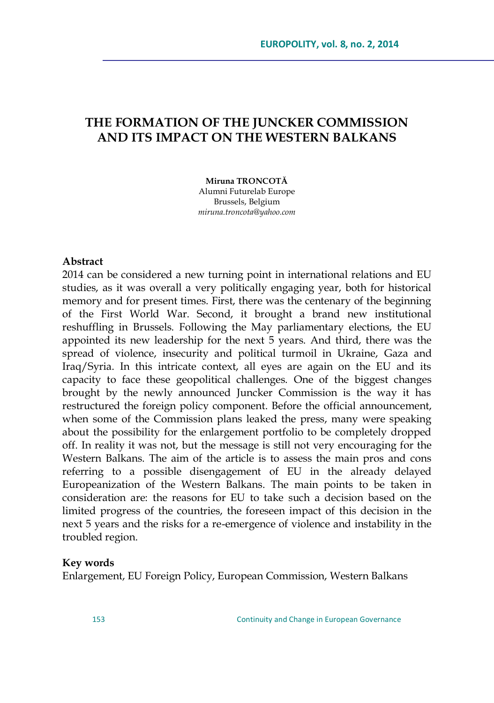# **THE FORMATION OF THE JUNCKER COMMISSION AND ITS IMPACT ON THE WESTERN BALKANS**

**Miruna TRONCOTĂ** Alumni Futurelab Europe Brussels, Belgium *[miruna.troncota@yahoo.com](mailto:miruna.troncota@yahoo.com)*

#### **Abstract**

2014 can be considered a new turning point in international relations and EU studies, as it was overall a very politically engaging year, both for historical memory and for present times. First, there was the centenary of the beginning of the First World War. Second, it brought a brand new institutional reshuffling in Brussels. Following the May parliamentary elections, the EU appointed its new leadership for the next 5 years. And third, there was the spread of violence, insecurity and political turmoil in Ukraine, Gaza and Iraq/Syria. In this intricate context, all eyes are again on the EU and its capacity to face these geopolitical challenges. One of the biggest changes brought by the newly announced Juncker Commission is the way it has restructured the foreign policy component. Before the official announcement, when some of the Commission plans leaked the press, many were speaking about the possibility for the enlargement portfolio to be completely dropped off. In reality it was not, but the message is still not very encouraging for the Western Balkans. The aim of the article is to assess the main pros and cons referring to a possible disengagement of EU in the already delayed Europeanization of the Western Balkans. The main points to be taken in consideration are: the reasons for EU to take such a decision based on the limited progress of the countries, the foreseen impact of this decision in the next 5 years and the risks for a re-emergence of violence and instability in the troubled region.

#### **Key words**

Enlargement, EU Foreign Policy, European Commission, Western Balkans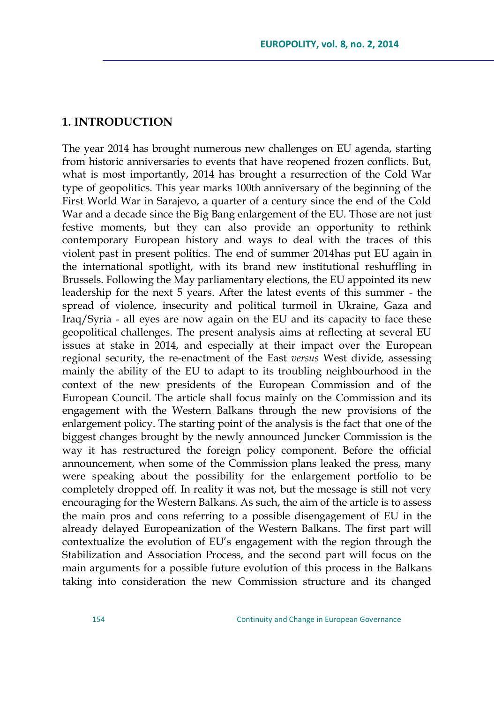#### **1. INTRODUCTION**

The year 2014 has brought numerous new challenges on EU agenda, starting from historic anniversaries to events that have reopened frozen conflicts. But, what is most importantly, 2014 has brought a resurrection of the Cold War type of geopolitics. This year marks 100th anniversary of the beginning of the First World War in Sarajevo, a quarter of a century since the end of the Cold War and a decade since the Big Bang enlargement of the EU. Those are not just festive moments, but they can also provide an opportunity to rethink contemporary European history and ways to deal with the traces of this violent past in present politics. The end of summer 2014has put EU again in the international spotlight, with its brand new institutional reshuffling in Brussels. Following the May parliamentary elections, the EU appointed its new leadership for the next 5 years. After the latest events of this summer - the spread of violence, insecurity and political turmoil in Ukraine, Gaza and Iraq/Syria - all eyes are now again on the EU and its capacity to face these geopolitical challenges. The present analysis aims at reflecting at several EU issues at stake in 2014, and especially at their impact over the European regional security, the re-enactment of the East *versus* West divide, assessing mainly the ability of the EU to adapt to its troubling neighbourhood in the context of the new presidents of the European Commission and of the European Council. The article shall focus mainly on the Commission and its engagement with the Western Balkans through the new provisions of the enlargement policy. The starting point of the analysis is the fact that one of the biggest changes brought by the newly announced Juncker Commission is the way it has restructured the foreign policy component. Before the official announcement, when some of the Commission plans leaked the press, many were speaking about the possibility for the enlargement portfolio to be completely dropped off. In reality it was not, but the message is still not very encouraging for the Western Balkans. As such, the aim of the article is to assess the main pros and cons referring to a possible disengagement of EU in the already delayed Europeanization of the Western Balkans. The first part will contextualize the evolution of EU's engagement with the region through the Stabilization and Association Process, and the second part will focus on the main arguments for a possible future evolution of this process in the Balkans taking into consideration the new Commission structure and its changed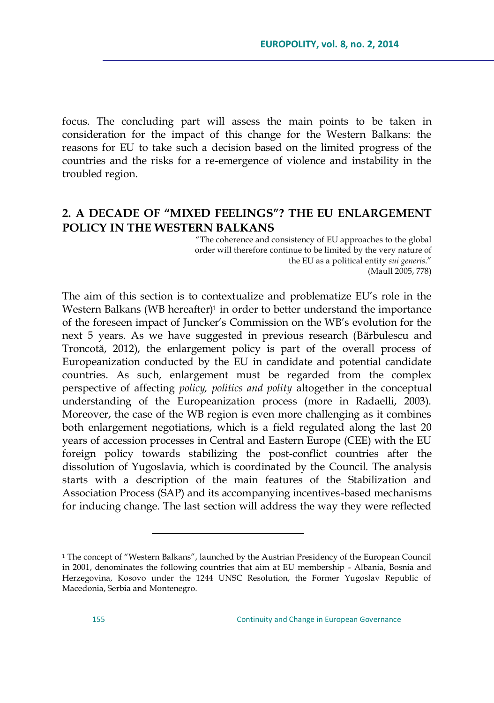focus. The concluding part will assess the main points to be taken in consideration for the impact of this change for the Western Balkans: the reasons for EU to take such a decision based on the limited progress of the countries and the risks for a re-emergence of violence and instability in the troubled region.

## **2. A DECADE OF "MIXED FEELINGS"? THE EU ENLARGEMENT POLICY IN THE WESTERN BALKANS**

―The coherence and consistency of EU approaches to the global order will therefore continue to be limited by the very nature of the EU as a political entity *sui generis*.‖ (Maull 2005, 778)

The aim of this section is to contextualize and problematize EU's role in the Western Balkans (WB hereafter) $1$  in order to better understand the importance of the foreseen impact of Juncker's Commission on the WB's evolution for the next 5 years. As we have suggested in previous research (Bărbulescu and Troncotă, 2012), the enlargement policy is part of the overall process of Europeanization conducted by the EU in candidate and potential candidate countries. As such, enlargement must be regarded from the complex perspective of affecting *policy, politics and polity* altogether in the conceptual understanding of the Europeanization process (more in Radaelli, 2003). Moreover, the case of the WB region is even more challenging as it combines both enlargement negotiations, which is a field regulated along the last 20 years of accession processes in Central and Eastern Europe (CEE) with the EU foreign policy towards stabilizing the post-conflict countries after the dissolution of Yugoslavia, which is coordinated by the Council. The analysis starts with a description of the main features of the Stabilization and Association Process (SAP) and its accompanying incentives-based mechanisms for inducing change. The last section will address the way they were reflected

 $\overline{a}$ 

<sup>&</sup>lt;sup>1</sup> The concept of "Western Balkans", launched by the Austrian Presidency of the European Council in 2001, denominates the following countries that aim at EU membership - Albania, Bosnia and Herzegovina, Kosovo under the 1244 UNSC Resolution, the Former Yugoslav Republic of Macedonia, Serbia and Montenegro.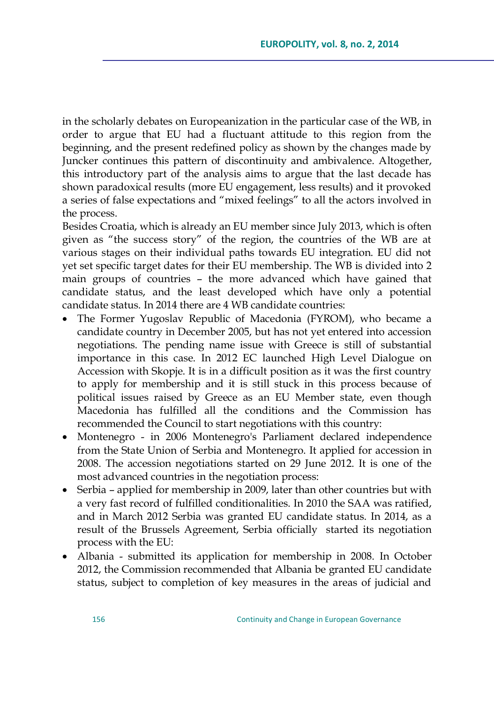in the scholarly debates on Europeanization in the particular case of the WB, in order to argue that EU had a fluctuant attitude to this region from the beginning, and the present redefined policy as shown by the changes made by Juncker continues this pattern of discontinuity and ambivalence. Altogether, this introductory part of the analysis aims to argue that the last decade has shown paradoxical results (more EU engagement, less results) and it provoked a series of false expectations and "mixed feelings" to all the actors involved in the process.

Besides Croatia, which is already an EU member since July 2013, which is often given as "the success story" of the region, the countries of the WB are at various stages on their individual paths towards EU integration. EU did not yet set specific target dates for their EU membership. The WB is divided into 2 main groups of countries – the more advanced which have gained that candidate status, and the least developed which have only a potential candidate status. In 2014 there are 4 WB candidate countries:

- The Former Yugoslav Republic of Macedonia (FYROM), who became a candidate country in December 2005, but has not yet entered into accession negotiations. The pending name issue with Greece is still of substantial importance in this case. In 2012 EC launched High Level Dialogue on Accession with Skopje. It is in a difficult position as it was the first country to apply for membership and it is still stuck in this process because of political issues raised by Greece as an EU Member state, even though Macedonia has fulfilled all the conditions and the Commission has recommended the Council to start negotiations with this country:
- Montenegro in 2006 Montenegro's Parliament declared independence from the State Union of Serbia and Montenegro. It applied for accession in 2008. The accession negotiations started on 29 June 2012. It is one of the most advanced countries in the negotiation process:
- Serbia applied for membership in 2009, later than other countries but with a very fast record of fulfilled conditionalities. In 2010 the SAA was ratified, and in March 2012 Serbia was granted EU candidate status. In 2014, as a result of the Brussels Agreement, Serbia officially started its negotiation process with the EU:
- Albania submitted its application for membership in 2008. In October 2012, the Commission recommended that Albania be granted EU candidate status, subject to completion of key measures in the areas of judicial and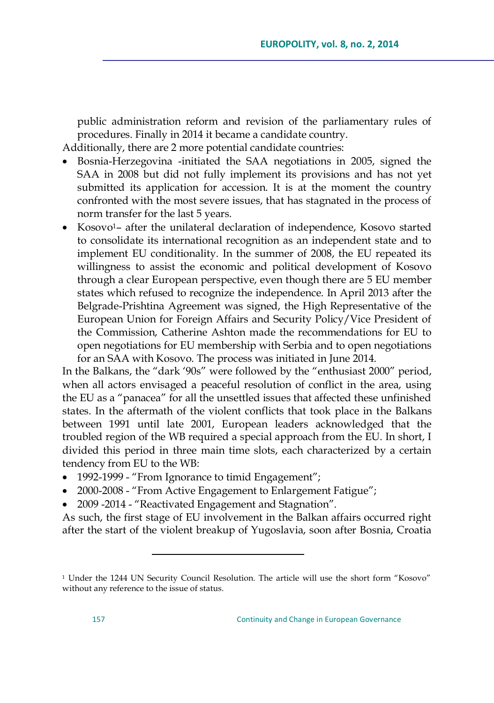public administration reform and revision of the parliamentary rules of procedures. Finally in 2014 it became a candidate country.

Additionally, there are 2 more potential candidate countries:

- Bosnia-Herzegovina -initiated the SAA negotiations in 2005, signed the SAA in 2008 but did not fully implement its provisions and has not yet submitted its application for accession. It is at the moment the country confronted with the most severe issues, that has stagnated in the process of norm transfer for the last 5 years.
- Kosovo1– after the unilateral declaration of independence, Kosovo started to consolidate its international recognition as an independent state and to implement EU conditionality. In the summer of 2008, the EU repeated its willingness to assist the economic and political development of Kosovo through a clear European perspective, even though there are 5 EU member states which refused to recognize the independence. In April 2013 after the Belgrade-Prishtina Agreement was signed, the High Representative of the European Union for Foreign Affairs and Security Policy/Vice President of the Commission, Catherine Ashton made the recommendations for EU to open negotiations for EU membership with Serbia and to open negotiations for an SAA with Kosovo. The process was initiated in June 2014.

In the Balkans, the "dark '90s" were followed by the "enthusiast 2000" period, when all actors envisaged a peaceful resolution of conflict in the area, using the EU as a "panacea" for all the unsettled issues that affected these unfinished states. In the aftermath of the violent conflicts that took place in the Balkans between 1991 until late 2001, European leaders acknowledged that the troubled region of the WB required a special approach from the EU. In short, I divided this period in three main time slots, each characterized by a certain tendency from EU to the WB:

• 1992-1999 - "From Ignorance to timid Engagement";

 $\overline{a}$ 

- 2000-2008 "From Active Engagement to Enlargement Fatigue";
- 2009 -2014 "Reactivated Engagement and Stagnation".

As such, the first stage of EU involvement in the Balkan affairs occurred right after the start of the violent breakup of Yugoslavia, soon after Bosnia, Croatia

<sup>&</sup>lt;sup>1</sup> Under the 1244 UN Security Council Resolution. The article will use the short form "Kosovo" without any reference to the issue of status.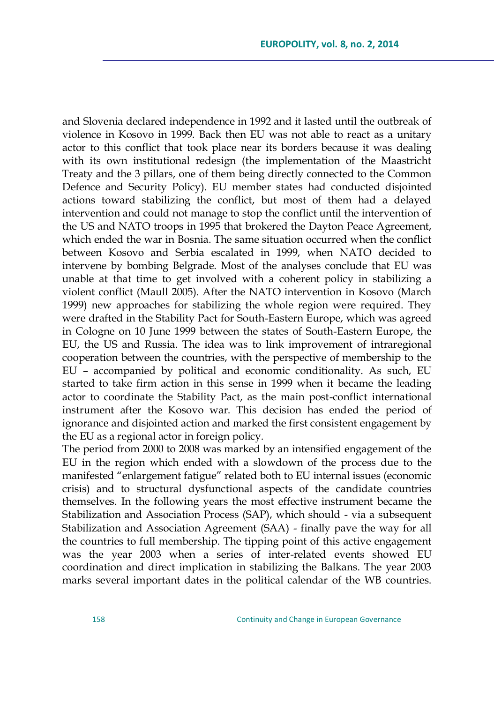and Slovenia declared independence in 1992 and it lasted until the outbreak of violence in Kosovo in 1999. Back then EU was not able to react as a unitary actor to this conflict that took place near its borders because it was dealing with its own institutional redesign (the implementation of the Maastricht Treaty and the 3 pillars, one of them being directly connected to the Common Defence and Security Policy). EU member states had conducted disjointed actions toward stabilizing the conflict, but most of them had a delayed intervention and could not manage to stop the conflict until the intervention of the US and NATO troops in 1995 that brokered the Dayton Peace Agreement, which ended the war in Bosnia. The same situation occurred when the conflict between Kosovo and Serbia escalated in 1999, when NATO decided to intervene by bombing Belgrade. Most of the analyses conclude that EU was unable at that time to get involved with a coherent policy in stabilizing a violent conflict (Maull 2005). After the NATO intervention in Kosovo (March 1999) new approaches for stabilizing the whole region were required. They were drafted in the Stability Pact for South-Eastern Europe, which was agreed in Cologne on 10 June 1999 between the states of South-Eastern Europe, the EU, the US and Russia. The idea was to link improvement of intraregional cooperation between the countries, with the perspective of membership to the EU – accompanied by political and economic conditionality. As such, EU started to take firm action in this sense in 1999 when it became the leading actor to coordinate the Stability Pact, as the main post-conflict international instrument after the Kosovo war. This decision has ended the period of ignorance and disjointed action and marked the first consistent engagement by the EU as a regional actor in foreign policy.

The period from 2000 to 2008 was marked by an intensified engagement of the EU in the region which ended with a slowdown of the process due to the manifested "enlargement fatigue" related both to EU internal issues (economic crisis) and to structural dysfunctional aspects of the candidate countries themselves. In the following years the most effective instrument became the Stabilization and Association Process (SAP), which should - via a subsequent Stabilization and Association Agreement (SAA) - finally pave the way for all the countries to full membership. The tipping point of this active engagement was the year 2003 when a series of inter-related events showed EU coordination and direct implication in stabilizing the Balkans. The year 2003 marks several important dates in the political calendar of the WB countries.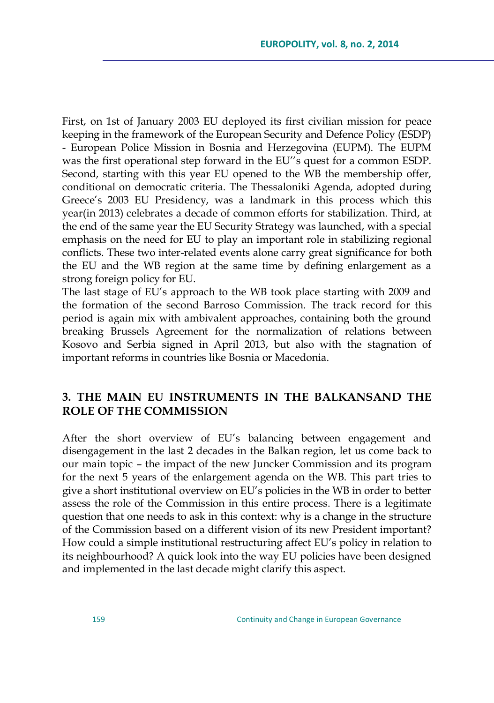First, on 1st of January 2003 EU deployed its first civilian mission for peace keeping in the framework of the European Security and Defence Policy (ESDP) - European Police Mission in Bosnia and Herzegovina (EUPM). The EUPM was the first operational step forward in the EU''s quest for a common ESDP. Second, starting with this year EU opened to the WB the membership offer, conditional on democratic criteria. The Thessaloniki Agenda, adopted during Greece's 2003 EU Presidency, was a landmark in this process which this year(in 2013) celebrates a decade of common efforts for stabilization. Third, at the end of the same year the EU Security Strategy was launched, with a special emphasis on the need for EU to play an important role in stabilizing regional conflicts. These two inter-related events alone carry great significance for both the EU and the WB region at the same time by defining enlargement as a strong foreign policy for EU.

The last stage of EU's approach to the WB took place starting with 2009 and the formation of the second Barroso Commission. The track record for this period is again mix with ambivalent approaches, containing both the ground breaking Brussels Agreement for the normalization of relations between Kosovo and Serbia signed in April 2013, but also with the stagnation of important reforms in countries like Bosnia or Macedonia.

## **3. THE MAIN EU INSTRUMENTS IN THE BALKANSAND THE ROLE OF THE COMMISSION**

After the short overview of EU's balancing between engagement and disengagement in the last 2 decades in the Balkan region, let us come back to our main topic – the impact of the new Juncker Commission and its program for the next 5 years of the enlargement agenda on the WB. This part tries to give a short institutional overview on EU's policies in the WB in order to better assess the role of the Commission in this entire process. There is a legitimate question that one needs to ask in this context: why is a change in the structure of the Commission based on a different vision of its new President important? How could a simple institutional restructuring affect EU's policy in relation to its neighbourhood? A quick look into the way EU policies have been designed and implemented in the last decade might clarify this aspect.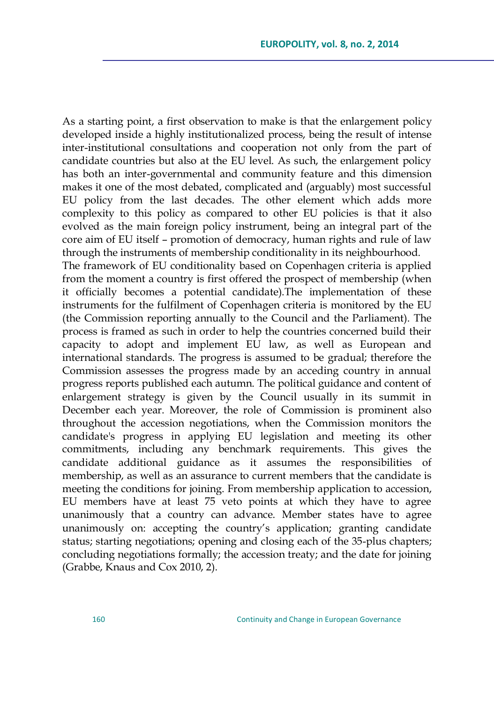As a starting point, a first observation to make is that the enlargement policy developed inside a highly institutionalized process, being the result of intense inter-institutional consultations and cooperation not only from the part of candidate countries but also at the EU level. As such, the enlargement policy has both an inter-governmental and community feature and this dimension makes it one of the most debated, complicated and (arguably) most successful EU policy from the last decades. The other element which adds more complexity to this policy as compared to other EU policies is that it also evolved as the main foreign policy instrument, being an integral part of the core aim of EU itself – promotion of democracy, human rights and rule of law through the instruments of membership conditionality in its neighbourhood. The framework of EU conditionality based on Copenhagen criteria is applied from the moment a country is first offered the prospect of membership (when it officially becomes a potential candidate).The implementation of these instruments for the fulfilment of Copenhagen criteria is monitored by the EU (the Commission reporting annually to the Council and the Parliament). The process is framed as such in order to help the countries concerned build their capacity to adopt and implement EU law, as well as European and international standards. The progress is assumed to be gradual; therefore the Commission assesses the progress made by an acceding country in annual progress reports published each autumn. The political guidance and content of enlargement strategy is given by the Council usually in its summit in December each year. Moreover, the role of Commission is prominent also throughout the accession negotiations, when the Commission monitors the candidate's progress in applying EU legislation and meeting its other commitments, including any benchmark requirements. This gives the candidate additional guidance as it assumes the responsibilities of membership, as well as an assurance to current members that the candidate is meeting the conditions for joining. From membership application to accession, EU members have at least 75 veto points at which they have to agree unanimously that a country can advance. Member states have to agree unanimously on: accepting the country's application; granting candidate status; starting negotiations; opening and closing each of the 35-plus chapters; concluding negotiations formally; the accession treaty; and the date for joining (Grabbe, Knaus and Cox 2010, 2).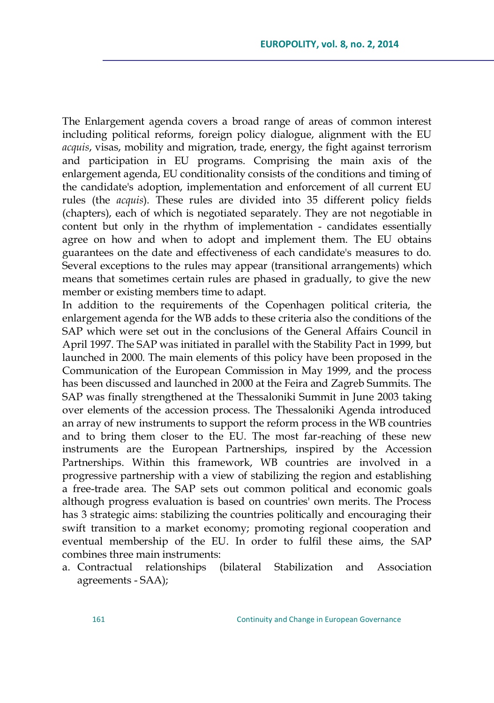The Enlargement agenda covers a broad range of areas of common interest including political reforms, foreign policy dialogue, alignment with the EU *acquis*, visas, mobility and migration, trade, energy, the fight against terrorism and participation in EU programs. Comprising the main axis of the enlargement agenda, EU conditionality consists of the conditions and timing of the candidate's adoption, implementation and enforcement of all current EU rules (the *acquis*). These rules are divided into 35 different policy fields (chapters), each of which is negotiated separately. They are not negotiable in content but only in the rhythm of implementation - candidates essentially agree on how and when to adopt and implement them. The EU obtains guarantees on the date and effectiveness of each candidate's measures to do. Several exceptions to the rules may appear (transitional arrangements) which means that sometimes certain rules are phased in gradually, to give the new member or existing members time to adapt.

In addition to the requirements of the Copenhagen political criteria, the enlargement agenda for the WB adds to these criteria also the conditions of the SAP which were set out in the conclusions of the General Affairs Council in April 1997. The SAP was initiated in parallel with the Stability Pact in 1999, but launched in 2000. The main elements of this policy have been proposed in the Communication of the European Commission in May 1999, and the process has been discussed and launched in 2000 at the Feira and Zagreb Summits. The SAP was finally strengthened at the Thessaloniki Summit in June 2003 taking over elements of the accession process. The Thessaloniki Agenda introduced an array of new instruments to support the reform process in the WB countries and to bring them closer to the EU. The most far-reaching of these new instruments are the European Partnerships, inspired by the Accession Partnerships. Within this framework, WB countries are involved in a progressive partnership with a view of stabilizing the region and establishing a free-trade area. The SAP sets out common political and economic goals although progress evaluation is based on countries' own merits. The Process has 3 strategic aims: stabilizing the countries politically and encouraging their swift transition to a market economy; promoting regional cooperation and eventual membership of the EU. In order to fulfil these aims, the SAP combines three main instruments:

a. Contractual relationships (bilateral Stabilization and Association agreements - SAA);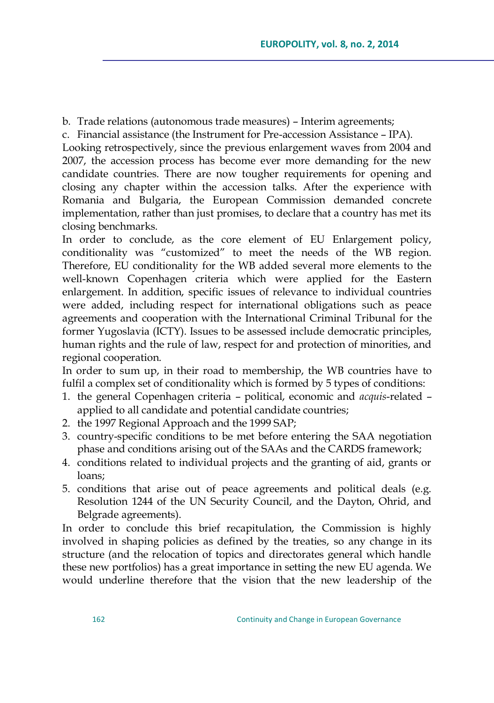b. Trade relations (autonomous trade measures) – Interim agreements;

c. Financial assistance (the Instrument for Pre-accession Assistance – IPA).

Looking retrospectively, since the previous enlargement waves from 2004 and 2007, the accession process has become ever more demanding for the new candidate countries. There are now tougher requirements for opening and closing any chapter within the accession talks. After the experience with Romania and Bulgaria, the European Commission demanded concrete implementation, rather than just promises, to declare that a country has met its closing benchmarks.

In order to conclude, as the core element of EU Enlargement policy, conditionality was "customized" to meet the needs of the WB region. Therefore, EU conditionality for the WB added several more elements to the well-known Copenhagen criteria which were applied for the Eastern enlargement. In addition, specific issues of relevance to individual countries were added, including respect for international obligations such as peace agreements and cooperation with the International Criminal Tribunal for the former Yugoslavia (ICTY). Issues to be assessed include democratic principles, human rights and the rule of law, respect for and protection of minorities, and regional cooperation.

In order to sum up, in their road to membership, the WB countries have to fulfil a complex set of conditionality which is formed by 5 types of conditions:

- 1. the general Copenhagen criteria political, economic and *acquis*-related applied to all candidate and potential candidate countries;
- 2. the 1997 Regional Approach and the 1999 SAP;
- 3. country-specific conditions to be met before entering the SAA negotiation phase and conditions arising out of the SAAs and the CARDS framework;
- 4. conditions related to individual projects and the granting of aid, grants or loans;
- 5. conditions that arise out of peace agreements and political deals (e.g. Resolution 1244 of the UN Security Council, and the Dayton, Ohrid, and Belgrade agreements).

In order to conclude this brief recapitulation, the Commission is highly involved in shaping policies as defined by the treaties, so any change in its structure (and the relocation of topics and directorates general which handle these new portfolios) has a great importance in setting the new EU agenda. We would underline therefore that the vision that the new leadership of the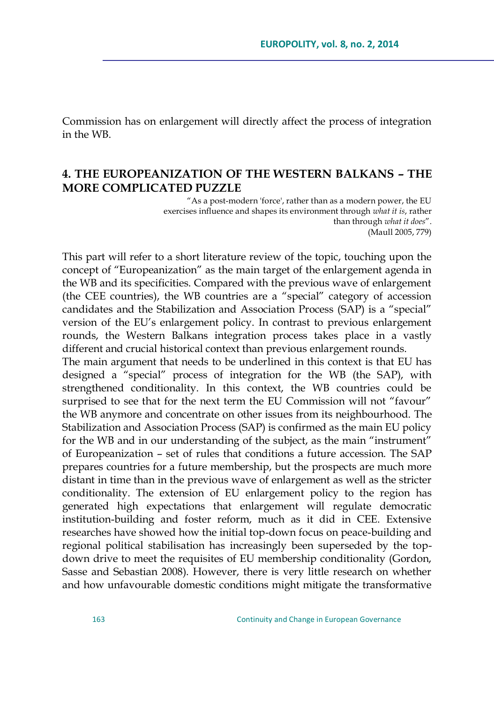Commission has on enlargement will directly affect the process of integration in the WB.

### **4. THE EUROPEANIZATION OF THE WESTERN BALKANS – THE MORE COMPLICATED PUZZLE**

"As a post-modern 'force', rather than as a modern power, the EU exercises influence and shapes its environment through *what it is*, rather than through *what it does"*. (Maull 2005, 779)

This part will refer to a short literature review of the topic, touching upon the concept of "Europeanization" as the main target of the enlargement agenda in the WB and its specificities. Compared with the previous wave of enlargement (the CEE countries), the WB countries are a "special" category of accession candidates and the Stabilization and Association Process (SAP) is a "special" version of the EU's enlargement policy. In contrast to previous enlargement rounds, the Western Balkans integration process takes place in a vastly different and crucial historical context than previous enlargement rounds.

The main argument that needs to be underlined in this context is that EU has designed a "special" process of integration for the WB (the SAP), with strengthened conditionality. In this context, the WB countries could be surprised to see that for the next term the EU Commission will not "favour" the WB anymore and concentrate on other issues from its neighbourhood. The Stabilization and Association Process (SAP) is confirmed as the main EU policy for the WB and in our understanding of the subject, as the main "instrument" of Europeanization – set of rules that conditions a future accession. The SAP prepares countries for a future membership, but the prospects are much more distant in time than in the previous wave of enlargement as well as the stricter conditionality. The extension of EU enlargement policy to the region has generated high expectations that enlargement will regulate democratic institution-building and foster reform, much as it did in CEE. Extensive researches have showed how the initial top-down focus on peace-building and regional political stabilisation has increasingly been superseded by the topdown drive to meet the requisites of EU membership conditionality (Gordon, Sasse and Sebastian 2008). However, there is very little research on whether and how unfavourable domestic conditions might mitigate the transformative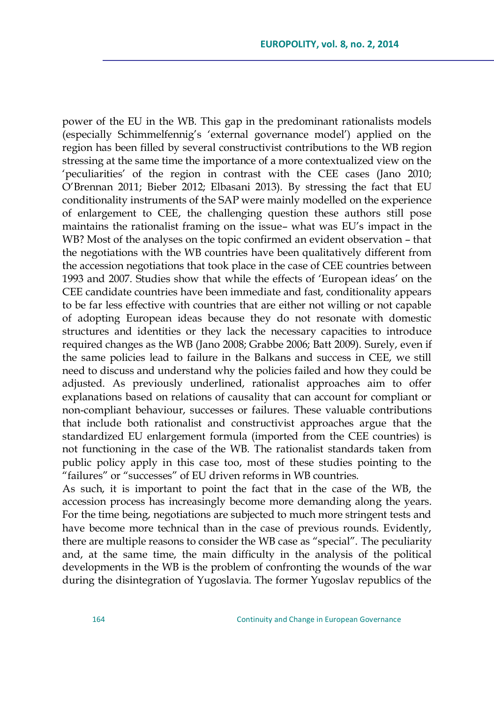power of the EU in the WB. This gap in the predominant rationalists models (especially Schimmelfennig's ‗external governance model') applied on the region has been filled by several constructivist contributions to the WB region stressing at the same time the importance of a more contextualized view on the ‗peculiarities' of the region in contrast with the CEE cases (Jano 2010; O'Brennan 2011; Bieber 2012; Elbasani 2013). By stressing the fact that EU conditionality instruments of the SAP were mainly modelled on the experience of enlargement to CEE, the challenging question these authors still pose maintains the rationalist framing on the issue– what was EU's impact in the WB? Most of the analyses on the topic confirmed an evident observation – that the negotiations with the WB countries have been qualitatively different from the accession negotiations that took place in the case of CEE countries between 1993 and 2007. Studies show that while the effects of 'European ideas' on the CEE candidate countries have been immediate and fast, conditionality appears to be far less effective with countries that are either not willing or not capable of adopting European ideas because they do not resonate with domestic structures and identities or they lack the necessary capacities to introduce required changes as the WB (Jano 2008; Grabbe 2006; Batt 2009). Surely, even if the same policies lead to failure in the Balkans and success in CEE, we still need to discuss and understand why the policies failed and how they could be adjusted. As previously underlined, rationalist approaches aim to offer explanations based on relations of causality that can account for compliant or non-compliant behaviour, successes or failures. These valuable contributions that include both rationalist and constructivist approaches argue that the standardized EU enlargement formula (imported from the CEE countries) is not functioning in the case of the WB. The rationalist standards taken from public policy apply in this case too, most of these studies pointing to the "failures" or "successes" of EU driven reforms in WB countries.

As such, it is important to point the fact that in the case of the WB, the accession process has increasingly become more demanding along the years. For the time being, negotiations are subjected to much more stringent tests and have become more technical than in the case of previous rounds. Evidently, there are multiple reasons to consider the WB case as "special". The peculiarity and, at the same time, the main difficulty in the analysis of the political developments in the WB is the problem of confronting the wounds of the war during the disintegration of Yugoslavia. The former Yugoslav republics of the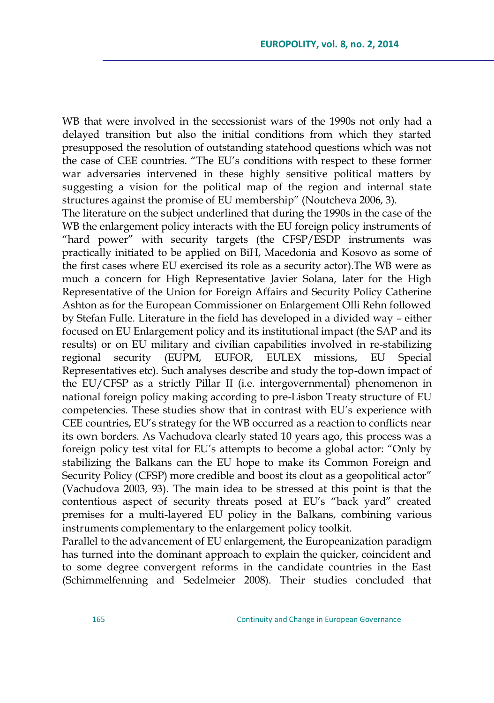WB that were involved in the secessionist wars of the 1990s not only had a delayed transition but also the initial conditions from which they started presupposed the resolution of outstanding statehood questions which was not the case of CEE countries. "The EU's conditions with respect to these former war adversaries intervened in these highly sensitive political matters by suggesting a vision for the political map of the region and internal state structures against the promise of EU membership" (Noutcheva 2006, 3).

The literature on the subject underlined that during the 1990s in the case of the WB the enlargement policy interacts with the EU foreign policy instruments of "hard power" with security targets (the CFSP/ESDP instruments was practically initiated to be applied on BiH, Macedonia and Kosovo as some of the first cases where EU exercised its role as a security actor).The WB were as much a concern for High Representative Javier Solana, later for the High Representative of the Union for Foreign Affairs and Security Policy Catherine Ashton as for the European Commissioner on Enlargement Olli Rehn followed by Stefan Fulle. Literature in the field has developed in a divided way – either focused on EU Enlargement policy and its institutional impact (the SAP and its results) or on EU military and civilian capabilities involved in re-stabilizing regional security (EUPM, EUFOR, EULEX missions, EU Special Representatives etc). Such analyses describe and study the top-down impact of the EU/CFSP as a strictly Pillar II (i.e. intergovernmental) phenomenon in national foreign policy making according to pre-Lisbon Treaty structure of EU competencies. These studies show that in contrast with EU's experience with CEE countries, EU's strategy for the WB occurred as a reaction to conflicts near its own borders. As Vachudova clearly stated 10 years ago, this process was a foreign policy test vital for EU's attempts to become a global actor: "Only by stabilizing the Balkans can the EU hope to make its Common Foreign and Security Policy (CFSP) more credible and boost its clout as a geopolitical actor" (Vachudova 2003, 93). The main idea to be stressed at this point is that the contentious aspect of security threats posed at EU's "back yard" created premises for a multi-layered EU policy in the Balkans, combining various instruments complementary to the enlargement policy toolkit.

Parallel to the advancement of EU enlargement, the Europeanization paradigm has turned into the dominant approach to explain the quicker, coincident and to some degree convergent reforms in the candidate countries in the East (Schimmelfenning and Sedelmeier 2008). Their studies concluded that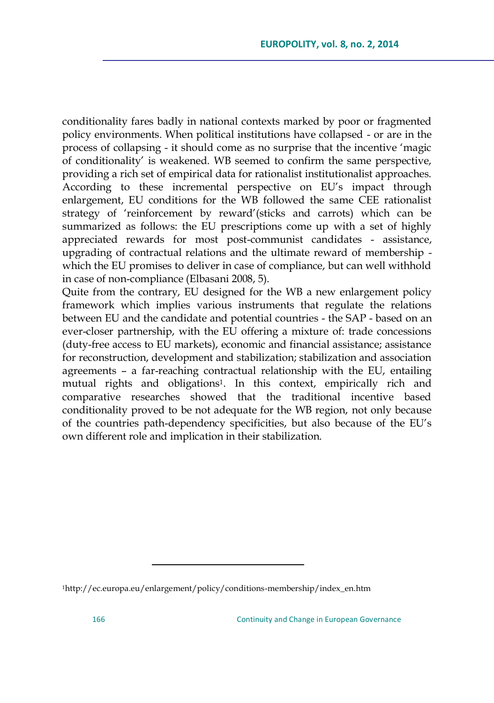conditionality fares badly in national contexts marked by poor or fragmented policy environments. When political institutions have collapsed - or are in the process of collapsing - it should come as no surprise that the incentive 'magic of conditionality' is weakened. WB seemed to confirm the same perspective, providing a rich set of empirical data for rationalist institutionalist approaches. According to these incremental perspective on EU's impact through enlargement, EU conditions for the WB followed the same CEE rationalist strategy of 'reinforcement by reward'(sticks and carrots) which can be summarized as follows: the EU prescriptions come up with a set of highly appreciated rewards for most post-communist candidates - assistance, upgrading of contractual relations and the ultimate reward of membership which the EU promises to deliver in case of compliance, but can well withhold in case of non-compliance (Elbasani 2008, 5).

Quite from the contrary, EU designed for the WB a new enlargement policy framework which implies various instruments that regulate the relations between EU and the candidate and potential countries - the SAP - based on an ever-closer partnership, with the EU offering a mixture of: trade concessions (duty-free access to EU markets), economic and financial assistance; assistance for reconstruction, development and stabilization; stabilization and association agreements – a far-reaching contractual relationship with the EU, entailing mutual rights and obligations1. In this context, empirically rich and comparative researches showed that the traditional incentive based conditionality proved to be not adequate for the WB region, not only because of the countries path-dependency specificities, but also because of the EU's own different role and implication in their stabilization.

 $\overline{a}$ 

<sup>1</sup>[http://ec.europa.eu/enlargement/policy/conditions-membership/index\\_en.htm](http://ec.europa.eu/enlargement/policy/conditions-membership/index_en.htm)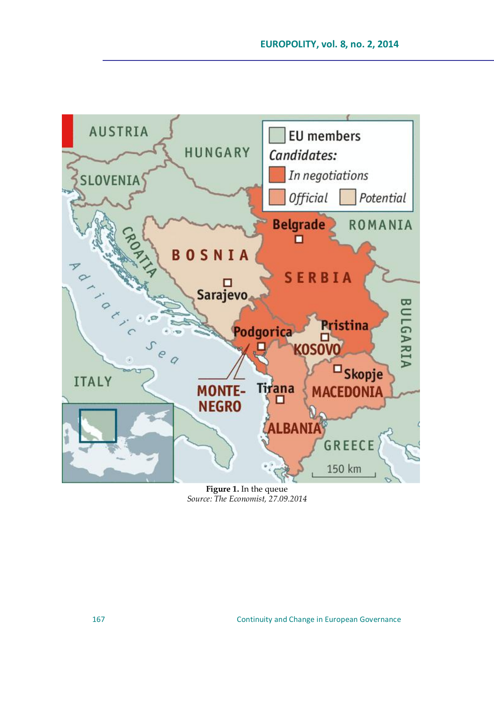

**Figure 1.** In the queue *Source: The Economist, 27.09.2014*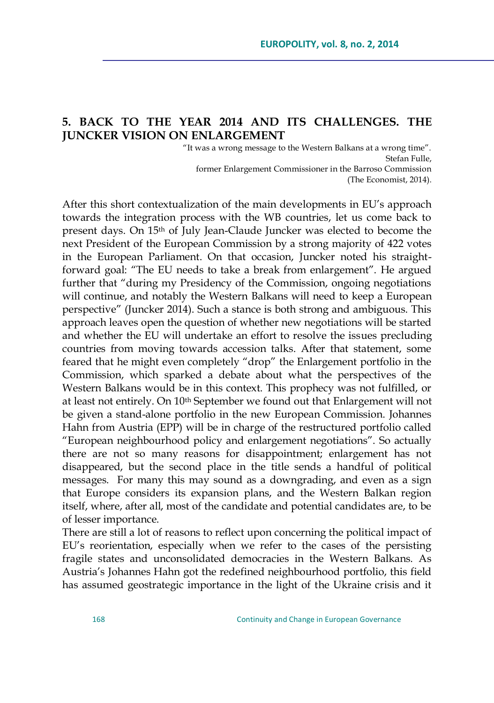## **5. BACK TO THE YEAR 2014 AND ITS CHALLENGES. THE JUNCKER VISION ON ENLARGEMENT**

"It was a wrong message to the Western Balkans at a wrong time". Stefan Fulle, former Enlargement Commissioner in the Barroso Commission (The Economist, 2014).

After this short contextualization of the main developments in EU's approach towards the integration process with the WB countries, let us come back to present days. On 15th of July Jean-Claude Juncker was elected to become the next President of the European Commission by a strong majority of 422 votes in the European Parliament. On that occasion, Juncker noted his straightforward goal: "The EU needs to take a break from enlargement". He argued further that "during my Presidency of the Commission, ongoing negotiations will continue, and notably the Western Balkans will need to keep a European perspective‖ (Juncker 2014). Such a stance is both strong and ambiguous. This approach leaves open the question of whether new negotiations will be started and whether the EU will undertake an effort to resolve the issues precluding countries from moving towards accession talks. After that statement, some feared that he might even completely "drop" the Enlargement portfolio in the Commission, which sparked a debate about what the perspectives of the Western Balkans would be in this context. This prophecy was not fulfilled, or at least not entirely. On 10<sup>th</sup> September we found out that Enlargement will not be given a stand-alone portfolio in the new European Commission. Johannes Hahn from Austria (EPP) will be in charge of the restructured portfolio called ―European neighbourhood policy and enlargement negotiations‖. So actually there are not so many reasons for disappointment; enlargement has not disappeared, but the second place in the title sends a handful of political messages. For many this may sound as a downgrading, and even as a sign that Europe considers its expansion plans, and the Western Balkan region itself, where, after all, most of the candidate and potential candidates are, to be of lesser importance.

There are still a lot of reasons to reflect upon concerning the political impact of EU's reorientation, especially when we refer to the cases of the persisting fragile states and unconsolidated democracies in the Western Balkans. As Austria's Johannes Hahn got the redefined neighbourhood portfolio, this field has assumed geostrategic importance in the light of the Ukraine crisis and it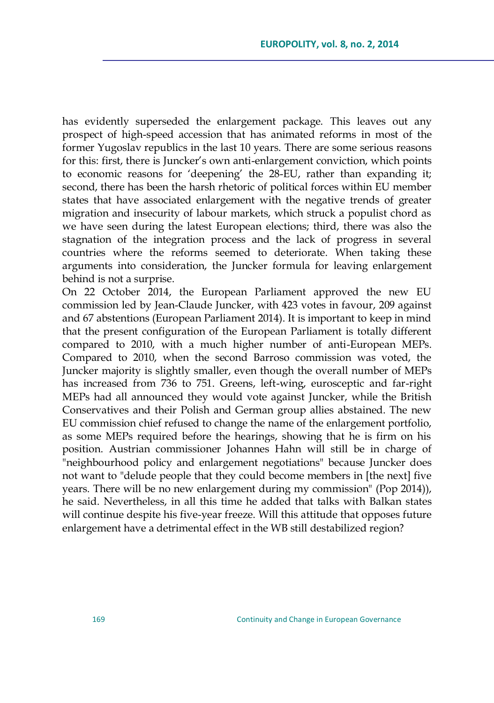has evidently superseded the enlargement package. This leaves out any prospect of high-speed accession that has animated reforms in most of the former Yugoslav republics in the last 10 years. There are some serious reasons for this: first, there is Juncker's own anti-enlargement conviction, which points to economic reasons for 'deepening' the 28-EU, rather than expanding it; second, there has been the harsh rhetoric of political forces within EU member states that have associated enlargement with the negative trends of greater migration and insecurity of labour markets, which struck a populist chord as we have seen during the latest European elections; third, there was also the stagnation of the integration process and the lack of progress in several countries where the reforms seemed to deteriorate. When taking these arguments into consideration, the Juncker formula for leaving enlargement behind is not a surprise.

On 22 October 2014, the European Parliament approved the new EU commission led by Jean-Claude Juncker, with 423 votes in favour, 209 against and 67 abstentions (European Parliament 2014). It is important to keep in mind that the present configuration of the European Parliament is totally different compared to 2010, with a much higher number of anti-European MEPs. Compared to 2010, when the second Barroso commission was voted, the Juncker majority is slightly smaller, even though the overall number of MEPs has increased from 736 to 751. Greens, left-wing, eurosceptic and far-right MEPs had all announced they would vote against Juncker, while the British Conservatives and their Polish and German group allies abstained. The new EU commission chief refused to change the name of the enlargement portfolio, as some MEPs required before the hearings, showing that he is firm on his position. Austrian commissioner Johannes Hahn will still be in charge of "neighbourhood policy and enlargement negotiations" because Juncker does not want to "delude people that they could become members in [the next] five years. There will be no new enlargement during my commission" (Pop 2014)), he said. Nevertheless, in all this time he added that talks with Balkan states will continue despite his five-year freeze. Will this attitude that opposes future enlargement have a detrimental effect in the WB still destabilized region?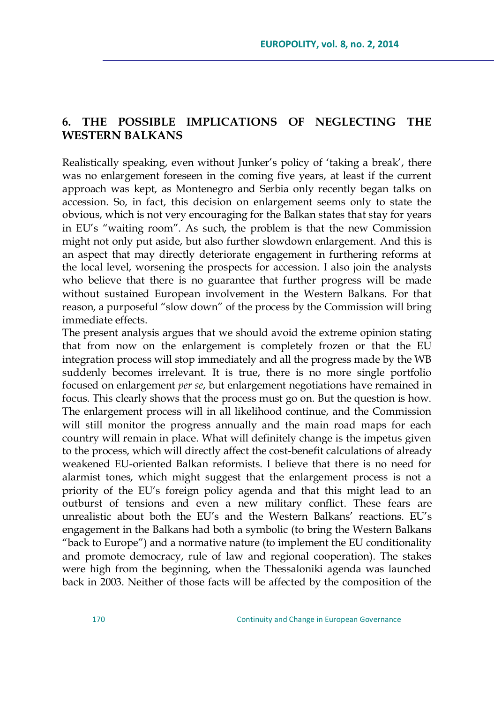## **6. THE POSSIBLE IMPLICATIONS OF NEGLECTING THE WESTERN BALKANS**

Realistically speaking, even without Junker's policy of 'taking a break', there was no enlargement foreseen in the coming five years, at least if the current approach was kept, as Montenegro and Serbia only recently began talks on accession. So, in fact, this decision on enlargement seems only to state the obvious, which is not very encouraging for the Balkan states that stay for years in EU's "waiting room". As such, the problem is that the new Commission might not only put aside, but also further slowdown enlargement. And this is an aspect that may directly deteriorate engagement in furthering reforms at the local level, worsening the prospects for accession. I also join the analysts who believe that there is no guarantee that further progress will be made without sustained European involvement in the Western Balkans. For that reason, a purposeful "slow down" of the process by the Commission will bring immediate effects.

The present analysis argues that we should avoid the extreme opinion stating that from now on the enlargement is completely frozen or that the EU integration process will stop immediately and all the progress made by the WB suddenly becomes irrelevant. It is true, there is no more single portfolio focused on enlargement *per se*, but enlargement negotiations have remained in focus. This clearly shows that the process must go on. But the question is how. The enlargement process will in all likelihood continue, and the Commission will still monitor the progress annually and the main road maps for each country will remain in place. What will definitely change is the impetus given to the process, which will directly affect the cost-benefit calculations of already weakened EU-oriented Balkan reformists. I believe that there is no need for alarmist tones, which might suggest that the enlargement process is not a priority of the EU's foreign policy agenda and that this might lead to an outburst of tensions and even a new military conflict. These fears are unrealistic about both the EU's and the Western Balkans' reactions. EU's engagement in the Balkans had both a symbolic (to bring the Western Balkans "back to Europe") and a normative nature (to implement the EU conditionality and promote democracy, rule of law and regional cooperation). The stakes were high from the beginning, when the Thessaloniki agenda was launched back in 2003. Neither of those facts will be affected by the composition of the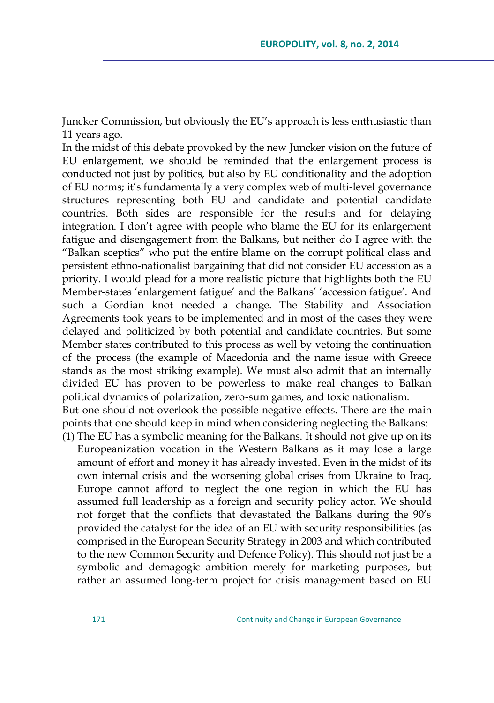Juncker Commission, but obviously the EU's approach is less enthusiastic than 11 years ago.

In the midst of this debate provoked by the new Juncker vision on the future of EU enlargement, we should be reminded that the enlargement process is conducted not just by politics, but also by EU conditionality and the adoption of EU norms; it's fundamentally a very complex web of multi-level governance structures representing both EU and candidate and potential candidate countries. Both sides are responsible for the results and for delaying integration. I don't agree with people who blame the EU for its enlargement fatigue and disengagement from the Balkans, but neither do I agree with the "Balkan sceptics" who put the entire blame on the corrupt political class and persistent ethno-nationalist bargaining that did not consider EU accession as a priority. I would plead for a more realistic picture that highlights both the EU Member-states 'enlargement fatigue' and the Balkans' 'accession fatigue'. And such a Gordian knot needed a change. The Stability and Association Agreements took years to be implemented and in most of the cases they were delayed and politicized by both potential and candidate countries. But some Member states contributed to this process as well by vetoing the continuation of the process (the example of Macedonia and the name issue with Greece stands as the most striking example). We must also admit that an internally divided EU has proven to be powerless to make real changes to Balkan political dynamics of polarization, zero-sum games, and toxic nationalism. But one should not overlook the possible negative effects. There are the main points that one should keep in mind when considering neglecting the Balkans:

(1) The EU has a symbolic meaning for the Balkans. It should not give up on its Europeanization vocation in the Western Balkans as it may lose a large amount of effort and money it has already invested. Even in the midst of its own internal crisis and the worsening global crises from Ukraine to Iraq, Europe cannot afford to neglect the one region in which the EU has assumed full leadership as a foreign and security policy actor. We should not forget that the conflicts that devastated the Balkans during the 90's provided the catalyst for the idea of an EU with security responsibilities (as comprised in the European Security Strategy in 2003 and which contributed to the new Common Security and Defence Policy). This should not just be a symbolic and demagogic ambition merely for marketing purposes, but rather an assumed long-term project for crisis management based on EU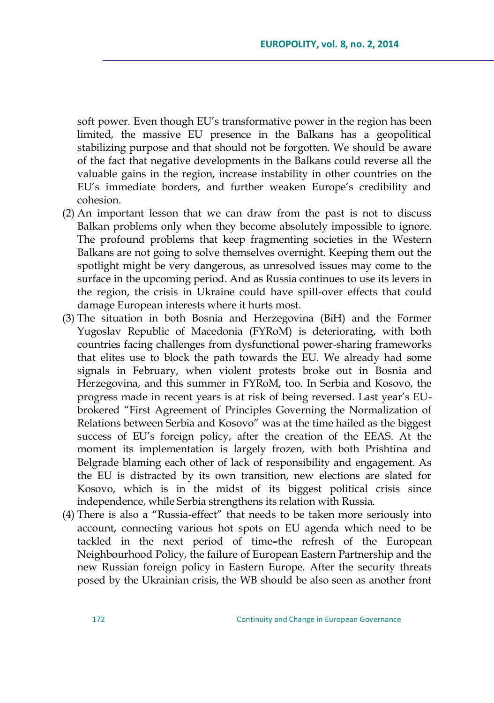soft power. Even though EU's transformative power in the region has been limited, the massive EU presence in the Balkans has a geopolitical stabilizing purpose and that should not be forgotten. We should be aware of the fact that negative developments in the Balkans could reverse all the valuable gains in the region, increase instability in other countries on the EU's immediate borders, and further weaken Europe's credibility and cohesion.

- (2) An important lesson that we can draw from the past is not to discuss Balkan problems only when they become absolutely impossible to ignore. The profound problems that keep fragmenting societies in the Western Balkans are not going to solve themselves overnight. Keeping them out the spotlight might be very dangerous, as unresolved issues may come to the surface in the upcoming period. And as Russia continues to use its levers in the region, the crisis in Ukraine could have spill-over effects that could damage European interests where it hurts most.
- (3) The situation in both Bosnia and Herzegovina (BiH) and the Former Yugoslav Republic of Macedonia (FYRoM) is deteriorating, with both countries facing challenges from dysfunctional power-sharing frameworks that elites use to block the path towards the EU. We already had some signals in February, when violent protests broke out in Bosnia and Herzegovina, and this summer in FYRoM, too. In Serbia and Kosovo, the progress made in recent years is at risk of being reversed. Last year's EUbrokered "First Agreement of Principles Governing the Normalization of Relations between Serbia and Kosovo" was at the time hailed as the biggest success of EU's foreign policy, after the creation of the EEAS. At the moment its implementation is largely frozen, with both Prishtina and Belgrade blaming each other of lack of responsibility and engagement. As the EU is distracted by its own transition, new elections are slated for Kosovo, which is in the midst of its biggest political crisis since independence, while Serbia strengthens its relation with Russia.
- (4) There is also a "Russia-effect" that needs to be taken more seriously into account, connecting various hot spots on EU agenda which need to be tackled in the next period of time**–**the refresh of the European Neighbourhood Policy, the failure of European Eastern Partnership and the new Russian foreign policy in Eastern Europe. After the security threats posed by the Ukrainian crisis, the WB should be also seen as another front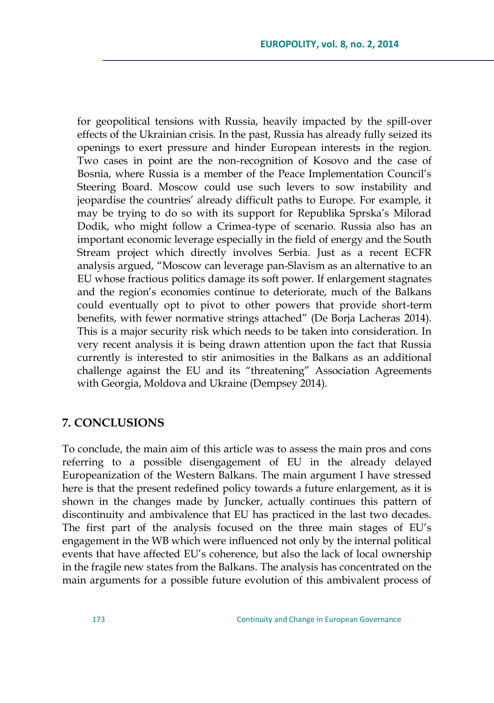for geopolitical tensions with Russia, heavily impacted by the spill-over effects of the Ukrainian crisis. In the past, Russia has already fully seized its openings to exert pressure and hinder European interests in the region. Two cases in point are the non-recognition of Kosovo and the case of Bosnia, where Russia is a member of the Peace Implementation Council's Steering Board. Moscow could use such levers to sow instability and jeopardise the countries' already difficult paths to Europe. For example, it may be trying to do so with its support for Republika Sprska's Milorad Dodik, who might follow a Crimea-type of scenario. Russia also has an important economic leverage especially in the field of energy and the South Stream project which directly involves Serbia. Just as a recent ECFR analysis argued, "Moscow can leverage pan-Slavism as an alternative to an EU whose fractious politics damage its soft power. If enlargement stagnates and the region's economies continue to deteriorate, much of the Balkans could eventually opt to pivot to other powers that provide short-term benefits, with fewer normative strings attached" (De Borja Lacheras 2014). This is a major security risk which needs to be taken into consideration. In very recent analysis it is being drawn attention upon the fact that Russia currently is interested to stir animosities in the Balkans as an additional challenge against the EU and its "threatening" Association Agreements with Georgia, Moldova and Ukraine (Dempsey 2014).

#### **7. CONCLUSIONS**

To conclude, the main aim of this article was to assess the main pros and cons referring to a possible disengagement of EU in the already delayed Europeanization of the Western Balkans. The main argument I have stressed here is that the present redefined policy towards a future enlargement, as it is shown in the changes made by Juncker, actually continues this pattern of discontinuity and ambivalence that EU has practiced in the last two decades. The first part of the analysis focused on the three main stages of EU's engagement in the WB which were influenced not only by the internal political events that have affected EU's coherence, but also the lack of local ownership in the fragile new states from the Balkans. The analysis has concentrated on the main arguments for a possible future evolution of this ambivalent process of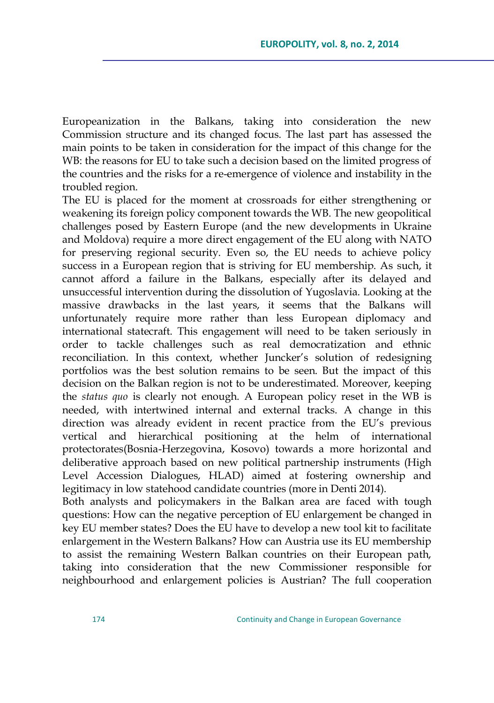Europeanization in the Balkans, taking into consideration the new Commission structure and its changed focus. The last part has assessed the main points to be taken in consideration for the impact of this change for the WB: the reasons for EU to take such a decision based on the limited progress of the countries and the risks for a re-emergence of violence and instability in the troubled region.

The EU is placed for the moment at crossroads for either strengthening or weakening its foreign policy component towards the WB. The new geopolitical challenges posed by Eastern Europe (and the new developments in Ukraine and Moldova) require a more direct engagement of the EU along with NATO for preserving regional security. Even so, the EU needs to achieve policy success in a European region that is striving for EU membership. As such, it cannot afford a failure in the Balkans, especially after its delayed and unsuccessful intervention during the dissolution of Yugoslavia. Looking at the massive drawbacks in the last years, it seems that the Balkans will unfortunately require more rather than less European diplomacy and international statecraft. This engagement will need to be taken seriously in order to tackle challenges such as real democratization and ethnic reconciliation. In this context, whether Juncker's solution of redesigning portfolios was the best solution remains to be seen. But the impact of this decision on the Balkan region is not to be underestimated. Moreover, keeping the *status quo* is clearly not enough. A European policy reset in the WB is needed, with intertwined internal and external tracks. A change in this direction was already evident in recent practice from the EU's previous vertical and hierarchical positioning at the helm of international protectorates(Bosnia-Herzegovina, Kosovo) towards a more horizontal and deliberative approach based on new political partnership instruments (High Level Accession Dialogues, HLAD) aimed at fostering ownership and legitimacy in low statehood candidate countries (more in Denti 2014).

Both analysts and policymakers in the Balkan area are faced with tough questions: How can the negative perception of EU enlargement be changed in key EU member states? Does the EU have to develop a new tool kit to facilitate enlargement in the Western Balkans? How can Austria use its EU membership to assist the remaining Western Balkan countries on their European path, taking into consideration that the new Commissioner responsible for neighbourhood and enlargement policies is Austrian? The full cooperation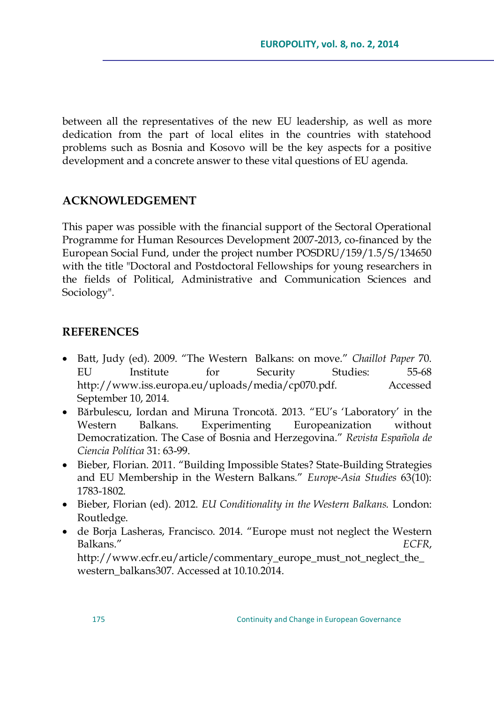between all the representatives of the new EU leadership, as well as more dedication from the part of local elites in the countries with statehood problems such as Bosnia and Kosovo will be the key aspects for a positive development and a concrete answer to these vital questions of EU agenda.

## **ACKNOWLEDGEMENT**

This paper was possible with the financial support of the Sectoral Operational Programme for Human Resources Development 2007-2013, co-financed by the European Social Fund, under the project number POSDRU/159/1.5/S/134650 with the title "Doctoral and Postdoctoral Fellowships for young researchers in the fields of Political, Administrative and Communication Sciences and Sociology".

### **REFERENCES**

- Batt, Judy (ed). 2009. ―The Western Balkans: on move.‖ *Chaillot Paper* 70. EU Institute for Security Studies: 55-68 [http://www.iss.europa.eu/uploads/media/cp070.pdf. Accessed](http://www.iss.europa.eu/uploads/media/cp070.pdf.%20Accessed%20September%2010)  [September 10,](http://www.iss.europa.eu/uploads/media/cp070.pdf.%20Accessed%20September%2010) 2014.
- Bărbulescu, Iordan and Miruna Troncotă. 2013. "EU's 'Laboratory' in the Western Balkans. Experimenting Europeanization without Democratization. The Case of Bosnia and Herzegovina.‖ *Revista Española de Ciencia Política* 31: 63-99.
- Bieber, Florian. 2011. "Building Impossible States? State-Building Strategies and EU Membership in the Western Balkans." *Europe-Asia Studies* 63(10): 1783-1802.
- Bieber, Florian (ed). 2012. *EU Conditionality in the Western Balkans.* London: Routledge.
- de Borja Lasheras, Francisco. 2014. "Europe must not neglect the Western Balkans.‖ *ECFR*, [http://www.ecfr.eu/article/commentary\\_europe\\_must\\_not\\_neglect\\_the\\_](http://www.ecfr.eu/article/commentary_europe_must_not_neglect_the_western_balkans307) [western\\_balkans307.](http://www.ecfr.eu/article/commentary_europe_must_not_neglect_the_western_balkans307) Accessed at 10.10.2014.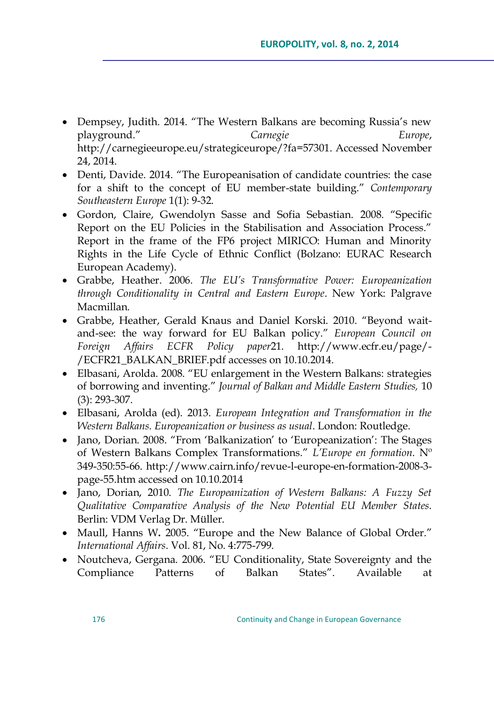- Dempsey, Judith. 2014. "The Western Balkans are becoming Russia's new playground.‖ *Carnegie Europe*, [http://carnegieeurope.eu/strategiceurope/?fa=57301.](http://carnegieeurope.eu/strategiceurope/?fa=57301) Accessed November 24, 2014.
- Denti, Davide. 2014. "The Europeanisation of candidate countries: the case for a shift to the concept of EU member-state building." Contemporary *Southeastern Europe* 1(1): 9-32.
- Gordon, Claire, Gwendolyn Sasse and Sofia Sebastian. 2008. "Specific Report on the EU Policies in the Stabilisation and Association Process." Report in the frame of the FP6 project MIRICO: Human and Minority Rights in the Life Cycle of Ethnic Conflict (Bolzano: EURAC Research European Academy).
- Grabbe, Heather. 2006. *The EU"s Transformative Power: Europeanization through Conditionality in Central and Eastern Europe*. New York: Palgrave Macmillan.
- Grabbe, Heather, Gerald Knaus and Daniel Korski. 2010. "Beyond waitand-see: the way forward for EU Balkan policy." *European Council on Foreign Affairs ECFR Policy paper*21. [http://www.ecfr.eu/page/-](http://www.ecfr.eu/page/-/ECFR21_BALKAN_BRIEF.pdf) [/ECFR21\\_BALKAN\\_BRIEF.pdf](http://www.ecfr.eu/page/-/ECFR21_BALKAN_BRIEF.pdf) accesses on 10.10.2014.
- Elbasani, Arolda. 2008. "EU enlargement in the Western Balkans: strategies of borrowing and inventing.‖ *Journal of Balkan and Middle Eastern Studies,* 10 (3): 293-307.
- Elbasani, Arolda (ed). 2013. *European Integration and Transformation in the Western Balkans. Europeanization or business as usual*. London: Routledge.
- Jano, Dorian. 2008. "From 'Balkanization' to 'Europeanization': The Stages of Western Balkans Complex Transformations.‖ *L"Europe en formation*. Nº 349-350:55-66. [http://www.cairn.info/revue-l-europe-en-formation-2008-3](http://www.cairn.info/revue-l-europe-en-formation-2008-3-page-55.htm) [page-55.htm](http://www.cairn.info/revue-l-europe-en-formation-2008-3-page-55.htm) accessed on 10.10.2014
- Jano, Dorian, 2010. *The Europeanization of Western Balkans: A Fuzzy Set Qualitative Comparative Analysis of the New Potential EU Member States*. Berlin: VDM Verlag Dr. Müller.
- Maull, Hanns W. 2005. "Europe and the New Balance of Global Order." *International Affairs*. Vol. 81, No. 4:775-799.
- Noutcheva, Gergana. 2006. "EU Conditionality, State Sovereignty and the Compliance Patterns of Balkan States". Available at